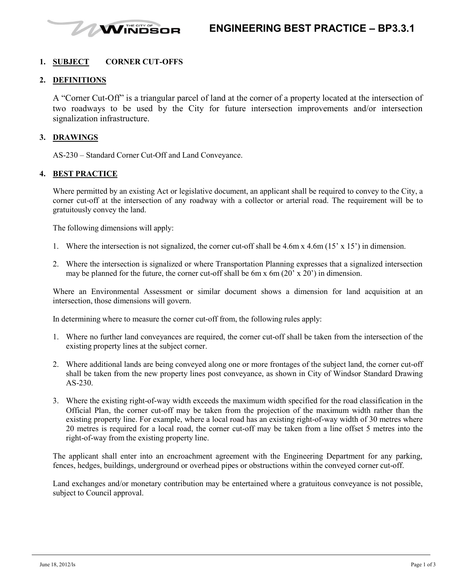

#### **1. SUBJECT CORNER CUT-OFFS**

#### **2. DEFINITIONS**

A "Corner Cut-Off" is a triangular parcel of land at the corner of a property located at the intersection of two roadways to be used by the City for future intersection improvements and/or intersection signalization infrastructure.

#### **3. DRAWINGS**

AS-230 – Standard Corner Cut-Off and Land Conveyance.

#### **4. BEST PRACTICE**

Where permitted by an existing Act or legislative document, an applicant shall be required to convey to the City, a corner cut-off at the intersection of any roadway with a collector or arterial road. The requirement will be to gratuitously convey the land.

The following dimensions will apply:

- 1. Where the intersection is not signalized, the corner cut-off shall be 4.6m x 4.6m (15' x 15') in dimension.
- 2. Where the intersection is signalized or where Transportation Planning expresses that a signalized intersection may be planned for the future, the corner cut-off shall be 6m x 6m (20' x 20') in dimension.

Where an Environmental Assessment or similar document shows a dimension for land acquisition at an intersection, those dimensions will govern.

In determining where to measure the corner cut-off from, the following rules apply:

- 1. Where no further land conveyances are required, the corner cut-off shall be taken from the intersection of the existing property lines at the subject corner.
- 2. Where additional lands are being conveyed along one or more frontages of the subject land, the corner cut-off shall be taken from the new property lines post conveyance, as shown in City of Windsor Standard Drawing AS-230.
- 3. Where the existing right-of-way width exceeds the maximum width specified for the road classification in the Official Plan, the corner cut-off may be taken from the projection of the maximum width rather than the existing property line. For example, where a local road has an existing right-of-way width of 30 metres where 20 metres is required for a local road, the corner cut-off may be taken from a line offset 5 metres into the right-of-way from the existing property line.

The applicant shall enter into an encroachment agreement with the Engineering Department for any parking, fences, hedges, buildings, underground or overhead pipes or obstructions within the conveyed corner cut-off.

Land exchanges and/or monetary contribution may be entertained where a gratuitous conveyance is not possible, subject to Council approval.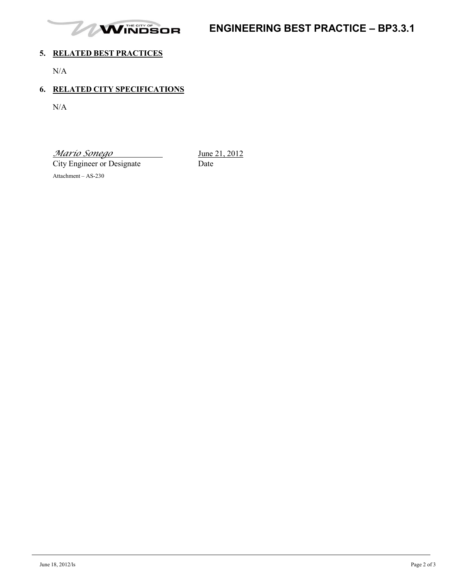

# **ENGINEERING BEST PRACTICE – BP3.3.1**

### **5. RELATED BEST PRACTICES**

N/A

## **6. RELATED CITY SPECIFICATIONS**

N/A

*Mario Sonego* June 21, 2012

City Engineer or Designate Date

Attachment – AS-230